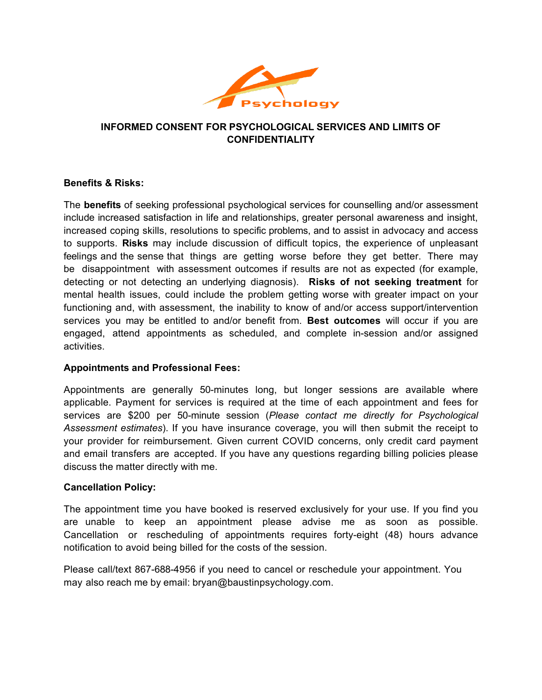

# **INFORMED CONSENT FOR PSYCHOLOGICAL SERVICES AND LIMITS OF CONFIDENTIALITY**

### **Benefits & Risks:**

The **benefits** of seeking professional psychological services for counselling and/or assessment include increased satisfaction in life and relationships, greater personal awareness and insight, increased coping skills, resolutions to specific problems, and to assist in advocacy and access to supports. **Risks** may include discussion of difficult topics, the experience of unpleasant feelings and the sense that things are getting worse before they get better. There may be disappointment with assessment outcomes if results are not as expected (for example, detecting or not detecting an underlying diagnosis). **Risks of not seeking treatment** for mental health issues, could include the problem getting worse with greater impact on your functioning and, with assessment, the inability to know of and/or access support/intervention services you may be entitled to and/or benefit from. **Best outcomes** will occur if you are engaged, attend appointments as scheduled, and complete in-session and/or assigned activities.

#### **Appointments and Professional Fees:**

Appointments are generally 50-minutes long, but longer sessions are available where applicable. Payment for services is required at the time of each appointment and fees for services are \$200 per 50-minute session (*Please contact me directly for Psychological Assessment estimates*). If you have insurance coverage, you will then submit the receipt to your provider for reimbursement. Given current COVID concerns, only credit card payment and email transfers are accepted. If you have any questions regarding billing policies please discuss the matter directly with me.

#### **Cancellation Policy:**

The appointment time you have booked is reserved exclusively for your use. If you find you are unable to keep an appointment please advise me as soon as possible. Cancellation or rescheduling of appointments requires forty-eight (48) hours advance notification to avoid being billed for the costs of the session.

Please call/text 867-688-4956 if you need to cancel or reschedule your appointment. You may also reach me by email: bryan@baustinpsychology.com.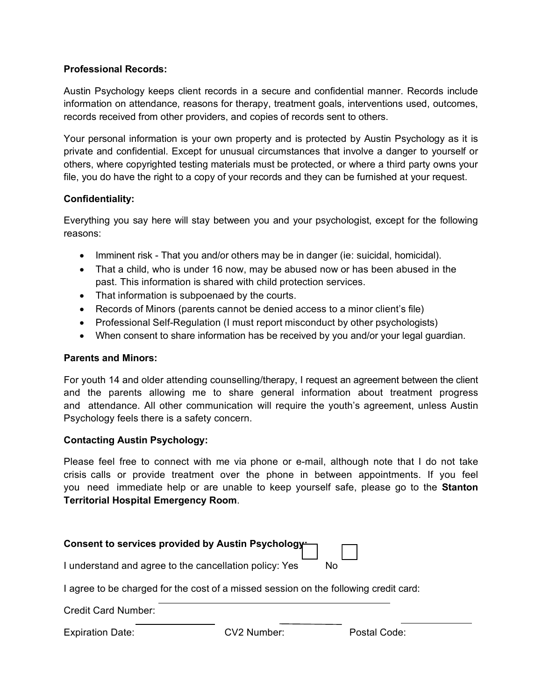#### **Professional Records:**

Austin Psychology keeps client records in a secure and confidential manner. Records include information on attendance, reasons for therapy, treatment goals, interventions used, outcomes, records received from other providers, and copies of records sent to others.

Your personal information is your own property and is protected by Austin Psychology as it is private and confidential. Except for unusual circumstances that involve a danger to yourself or others, where copyrighted testing materials must be protected, or where a third party owns your file, you do have the right to a copy of your records and they can be furnished at your request.

### **Confidentiality:**

Everything you say here will stay between you and your psychologist, except for the following reasons:

- Imminent risk That you and/or others may be in danger (ie: suicidal, homicidal).
- That a child, who is under 16 now, may be abused now or has been abused in the past. This information is shared with child protection services.
- That information is subpoenaed by the courts.
- Records of Minors (parents cannot be denied access to a minor client's file)
- Professional Self-Regulation (I must report misconduct by other psychologists)
- When consent to share information has be received by you and/or your legal guardian.

#### **Parents and Minors:**

For youth 14 and older attending counselling/therapy, I request an agreement between the client and the parents allowing me to share general information about treatment progress and attendance. All other communication will require the youth's agreement, unless Austin Psychology feels there is a safety concern.

## **Contacting Austin Psychology:**

Please feel free to connect with me via phone or e-mail, although note that I do not take crisis calls or provide treatment over the phone in between appointments. If you feel you need immediate help or are unable to keep yourself safe, please go to the **Stanton Territorial Hospital Emergency Room**.

| Consent to services provided by Austin Psychology      |             |                                                                                      |  |
|--------------------------------------------------------|-------------|--------------------------------------------------------------------------------------|--|
| I understand and agree to the cancellation policy: Yes |             | No.                                                                                  |  |
|                                                        |             | I agree to be charged for the cost of a missed session on the following credit card: |  |
| <b>Credit Card Number:</b>                             |             |                                                                                      |  |
| <b>Expiration Date:</b>                                | CV2 Number: | Postal Code:                                                                         |  |